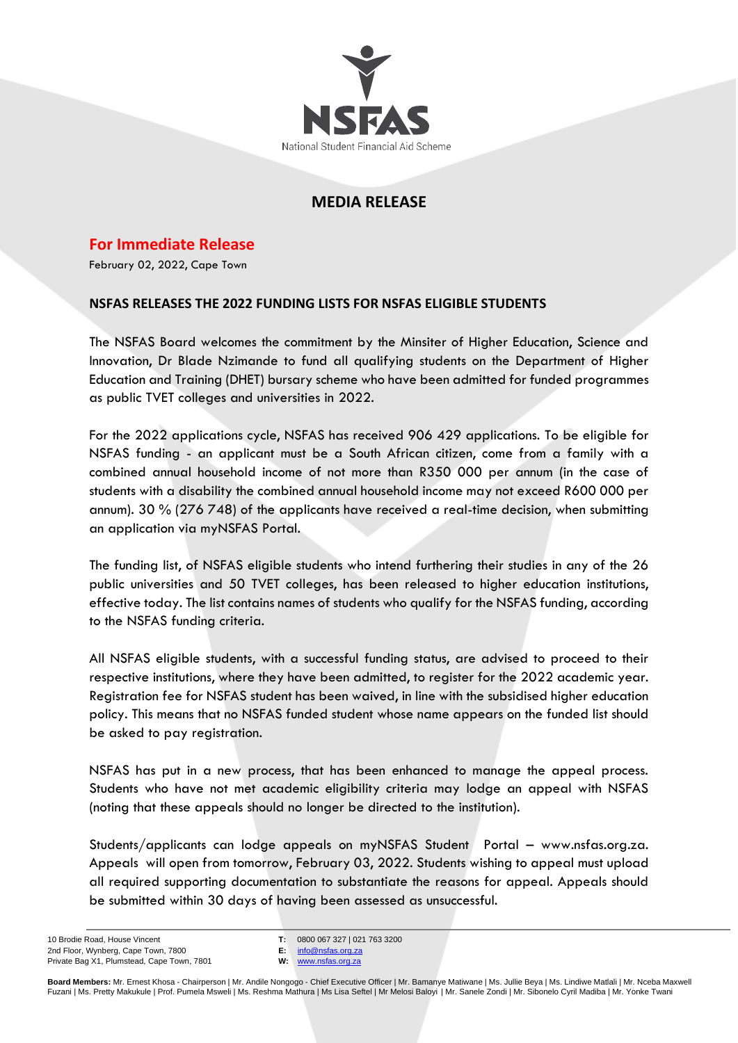

## **MEDIA RELEASE**

**For Immediate Release**

February 02, 2022, Cape Town

## **NSFAS RELEASES THE 2022 FUNDING LISTS FOR NSFAS ELIGIBLE STUDENTS**

The NSFAS Board welcomes the commitment by the Minsiter of Higher Education, Science and Innovation, Dr Blade Nzimande to fund all qualifying students on the Department of Higher Education and Training (DHET) bursary scheme who have been admitted for funded programmes as public TVET colleges and universities in 2022.

For the 2022 applications cycle, NSFAS has received 906 429 applications. To be eligible for NSFAS funding - an applicant must be a South African citizen, come from a family with a combined annual household income of not more than R350 000 per annum (in the case of students with a disability the combined annual household income may not exceed R600 000 per annum). 30 % (276 748) of the applicants have received a real-time decision, when submitting an application via myNSFAS Portal.

The funding list, of NSFAS eligible students who intend furthering their studies in any of the 26 public universities and 50 TVET colleges, has been released to higher education institutions, effective today. The list contains names of students who qualify for the NSFAS funding, according to the NSFAS funding criteria.

All NSFAS eligible students, with a successful funding status, are advised to proceed to their respective institutions, where they have been admitted, to register for the 2022 academic year. Registration fee for NSFAS student has been waived, in line with the subsidised higher education policy. This means that no NSFAS funded student whose name appears on the funded list should be asked to pay registration.

NSFAS has put in a new process, that has been enhanced to manage the appeal process. Students who have not met academic eligibility criteria may lodge an appeal with NSFAS (noting that these appeals should no longer be directed to the institution).

Students/applicants can lodge appeals on myNSFAS Student Portal – www.nsfas.org.za. Appeals will open from tomorrow, February 03, 2022. Students wishing to appeal must upload all required supporting documentation to substantiate the reasons for appeal. Appeals should be submitted within 30 days of having been assessed as unsuccessful.

**T:** 0800 067 327 | 021 763 3200 **E:** [info@nsfas.org.za](mailto:info@nsfas.org.za)

**W:** [www.nsfas.org.za](http://www.nsfas.org.za/)

**Board Members:** Mr. Ernest Khosa - Chairperson | Mr. Andile Nongogo - Chief Executive Officer | Mr. Bamanye Matiwane | Ms. Jullie Beya | Ms. Lindiwe Matlali | Mr. Nceba Maxwell Fuzani | Ms. Pretty Makukule | Prof. Pumela Msweli | Ms. Reshma Mathura | Ms Lisa Seftel | Mr Melosi Baloyi | Mr. Sanele Zondi | Mr. Sibonelo Cyril Madiba | Mr. Yonke Twani